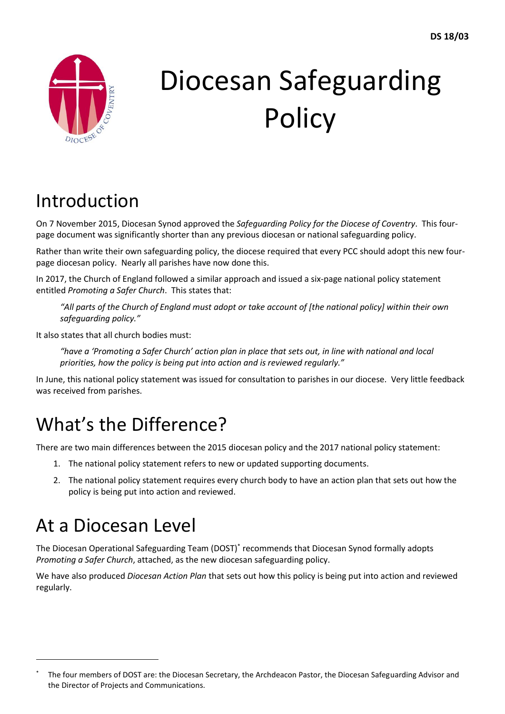

# Diocesan Safeguarding **Policy**

# Introduction

On 7 November 2015, Diocesan Synod approved the *Safeguarding Policy for the Diocese of Coventry*. This fourpage document was significantly shorter than any previous diocesan or national safeguarding policy.

Rather than write their own safeguarding policy, the diocese required that every PCC should adopt this new fourpage diocesan policy. Nearly all parishes have now done this.

In 2017, the Church of England followed a similar approach and issued a six-page national policy statement entitled *Promoting a Safer Church*. This states that:

"All parts of the Church of England must adopt or take account of [the national policy] within their own *safeguarding policy."*

It also states that all church bodies must:

*"have a 'Promoting a Safer Church' action plan in place that sets out, in line with national and local priorities, how the policy is being put into action and is reviewed regularly."*

In June, this national policy statement was issued for consultation to parishes in our diocese. Very little feedback was received from parishes.

## What's the Difference?

There are two main differences between the 2015 diocesan policy and the 2017 national policy statement:

- 1. The national policy statement refers to new or updated supporting documents.
- 2. The national policy statement requires every church body to have an action plan that sets out how the policy is being put into action and reviewed.

# At a Diocesan Level

 $\overline{a}$ 

The Diocesan Operational Safeguarding Team (DOST)\* recommends that Diocesan Synod formally adopts *Promoting a Safer Church*, attached, as the new diocesan safeguarding policy.

We have also produced *Diocesan Action Plan* that sets out how this policy is being put into action and reviewed regularly.

The four members of DOST are: the Diocesan Secretary, the Archdeacon Pastor, the Diocesan Safeguarding Advisor and the Director of Projects and Communications.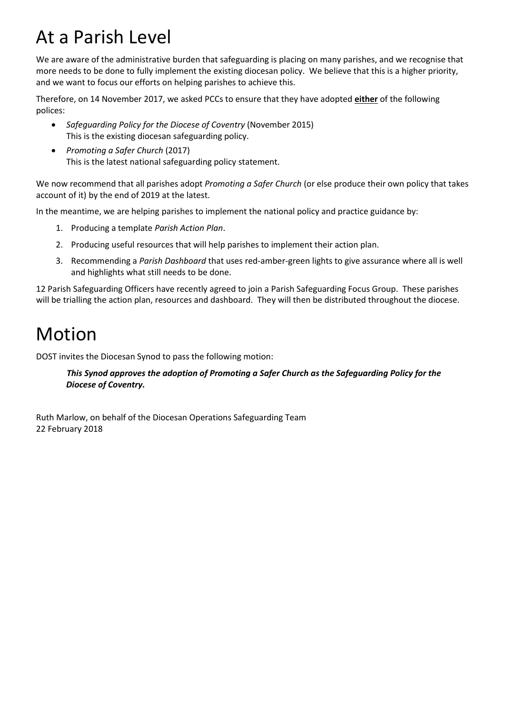## At a Parish Level

We are aware of the administrative burden that safeguarding is placing on many parishes, and we recognise that more needs to be done to fully implement the existing diocesan policy. We believe that this is a higher priority, and we want to focus our efforts on helping parishes to achieve this.

Therefore, on 14 November 2017, we asked PCCs to ensure that they have adopted **either** of the following polices:

- *Safeguarding Policy for the Diocese of Coventry* (November 2015) This is the existing diocesan safeguarding policy.
- *Promoting a Safer Church* (2017) This is the latest national safeguarding policy statement.

We now recommend that all parishes adopt *Promoting a Safer Church* (or else produce their own policy that takes account of it) by the end of 2019 at the latest.

In the meantime, we are helping parishes to implement the national policy and practice guidance by:

- 1. Producing a template *Parish Action Plan*.
- 2. Producing useful resources that will help parishes to implement their action plan.
- 3. Recommending a *Parish Dashboard* that uses red-amber-green lights to give assurance where all is well and highlights what still needs to be done.

12 Parish Safeguarding Officers have recently agreed to join a Parish Safeguarding Focus Group. These parishes will be trialling the action plan, resources and dashboard. They will then be distributed throughout the diocese.

## Motion

DOST invites the Diocesan Synod to pass the following motion:

#### *This Synod approves the adoption of Promoting a Safer Church as the Safeguarding Policy for the Diocese of Coventry.*

Ruth Marlow, on behalf of the Diocesan Operations Safeguarding Team 22 February 2018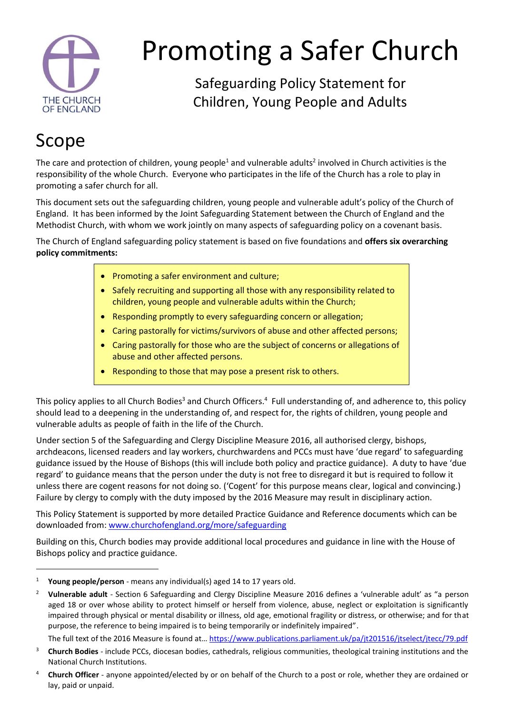

# Promoting a Safer Church

Safeguarding Policy Statement for Children, Young People and Adults

## Scope

 $\ddot{\phantom{a}}$ 

The care and protection of children, young people<sup>1</sup> and vulnerable adults<sup>2</sup> involved in Church activities is the responsibility of the whole Church. Everyone who participates in the life of the Church has a role to play in promoting a safer church for all.

This document sets out the safeguarding children, young people and vulnerable adult's policy of the Church of England. It has been informed by the Joint Safeguarding Statement between the Church of England and the Methodist Church, with whom we work jointly on many aspects of safeguarding policy on a covenant basis.

The Church of England safeguarding policy statement is based on five foundations and **offers six overarching policy commitments:**

- Promoting a safer environment and culture;
- Safely recruiting and supporting all those with any responsibility related to children, young people and vulnerable adults within the Church;
- Responding promptly to every safeguarding concern or allegation;
- Caring pastorally for victims/survivors of abuse and other affected persons;
- Caring pastorally for those who are the subject of concerns or allegations of abuse and other affected persons.
- Responding to those that may pose a present risk to others.

This policy applies to all Church Bodies<sup>3</sup> and Church Officers.<sup>4</sup> Full understanding of, and adherence to, this policy should lead to a deepening in the understanding of, and respect for, the rights of children, young people and vulnerable adults as people of faith in the life of the Church.

Under section 5 of the Safeguarding and Clergy Discipline Measure 2016, all authorised clergy, bishops, archdeacons, licensed readers and lay workers, churchwardens and PCCs must have 'due regard' to safeguarding guidance issued by the House of Bishops (this will include both policy and practice guidance). A duty to have 'due regard' to guidance means that the person under the duty is not free to disregard it but is required to follow it unless there are cogent reasons for not doing so. ('Cogent' for this purpose means clear, logical and convincing.) Failure by clergy to comply with the duty imposed by the 2016 Measure may result in disciplinary action.

This Policy Statement is supported by more detailed Practice Guidance and Reference documents which can be downloaded from: [www.churchofengland.org/more/safeguarding](http://www.churchofengland.org/more/safeguarding)

Building on this, Church bodies may provide additional local procedures and guidance in line with the House of Bishops policy and practice guidance.

The full text of the 2016 Measure is found at… <https://www.publications.parliament.uk/pa/jt201516/jtselect/jtecc/79.pdf>

<sup>1</sup> **Young people/person** - means any individual(s) aged 14 to 17 years old.

<sup>2</sup> **Vulnerable adult** - Section 6 Safeguarding and Clergy Discipline Measure 2016 defines a 'vulnerable adult' as "a person aged 18 or over whose ability to protect himself or herself from violence, abuse, neglect or exploitation is significantly impaired through physical or mental disability or illness, old age, emotional fragility or distress, or otherwise; and for that purpose, the reference to being impaired is to being temporarily or indefinitely impaired".

<sup>3</sup> **Church Bodies** - include PCCs, diocesan bodies, cathedrals, religious communities, theological training institutions and the National Church Institutions.

<sup>4</sup> **Church Officer** - anyone appointed/elected by or on behalf of the Church to a post or role, whether they are ordained or lay, paid or unpaid.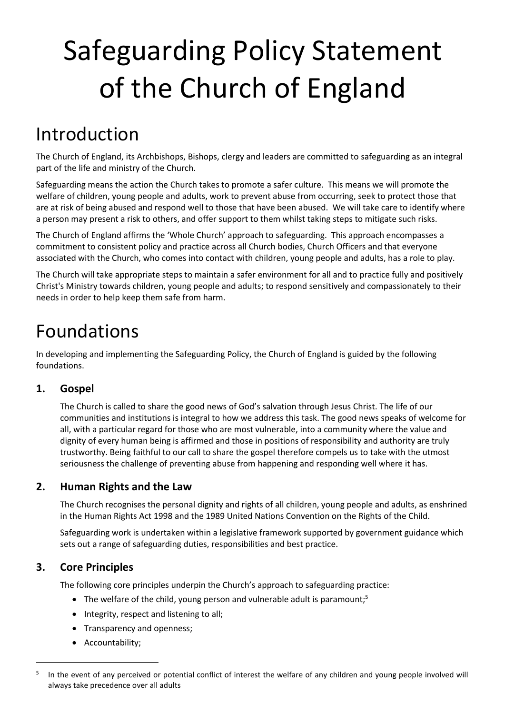# Safeguarding Policy Statement of the Church of England

## Introduction

The Church of England, its Archbishops, Bishops, clergy and leaders are committed to safeguarding as an integral part of the life and ministry of the Church.

Safeguarding means the action the Church takes to promote a safer culture. This means we will promote the welfare of children, young people and adults, work to prevent abuse from occurring, seek to protect those that are at risk of being abused and respond well to those that have been abused. We will take care to identify where a person may present a risk to others, and offer support to them whilst taking steps to mitigate such risks.

The Church of England affirms the 'Whole Church' approach to safeguarding. This approach encompasses a commitment to consistent policy and practice across all Church bodies, Church Officers and that everyone associated with the Church, who comes into contact with children, young people and adults, has a role to play.

The Church will take appropriate steps to maintain a safer environment for all and to practice fully and positively Christ's Ministry towards children, young people and adults; to respond sensitively and compassionately to their needs in order to help keep them safe from harm.

## Foundations

In developing and implementing the Safeguarding Policy, the Church of England is guided by the following foundations.

## **1. Gospel**

The Church is called to share the good news of God's salvation through Jesus Christ. The life of our communities and institutions is integral to how we address this task. The good news speaks of welcome for all, with a particular regard for those who are most vulnerable, into a community where the value and dignity of every human being is affirmed and those in positions of responsibility and authority are truly trustworthy. Being faithful to our call to share the gospel therefore compels us to take with the utmost seriousness the challenge of preventing abuse from happening and responding well where it has.

## **2. Human Rights and the Law**

The Church recognises the personal dignity and rights of all children, young people and adults, as enshrined in the Human Rights Act 1998 and the 1989 United Nations Convention on the Rights of the Child.

Safeguarding work is undertaken within a legislative framework supported by government guidance which sets out a range of safeguarding duties, responsibilities and best practice.

## **3. Core Principles**

 $\overline{a}$ 

The following core principles underpin the Church's approach to safeguarding practice:

- The welfare of the child, young person and vulnerable adult is paramount;<sup>5</sup>
- Integrity, respect and listening to all;
- Transparency and openness;
- Accountability;

<sup>5</sup> In the event of any perceived or potential conflict of interest the welfare of any children and young people involved will always take precedence over all adults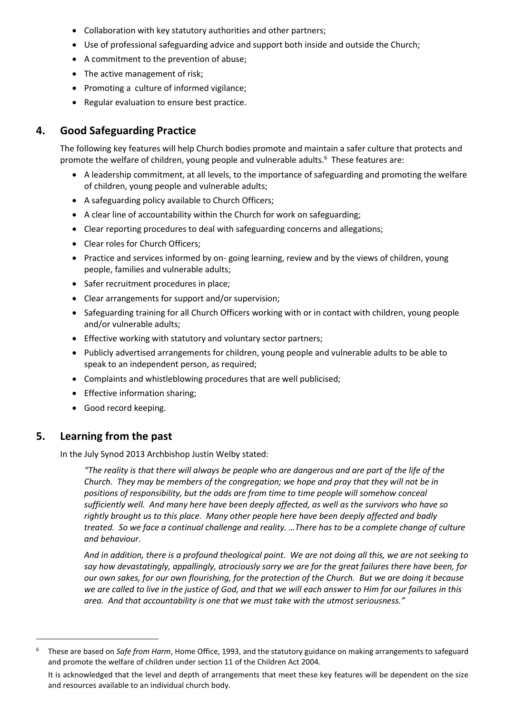- Collaboration with key statutory authorities and other partners;
- Use of professional safeguarding advice and support both inside and outside the Church;
- A commitment to the prevention of abuse;
- The active management of risk;
- Promoting a culture of informed vigilance;
- Regular evaluation to ensure best practice.

#### **4. Good Safeguarding Practice**

The following key features will help Church bodies promote and maintain a safer culture that protects and promote the welfare of children, young people and vulnerable adults.<sup>6</sup> These features are:

- A leadership commitment, at all levels, to the importance of safeguarding and promoting the welfare of children, young people and vulnerable adults;
- A safeguarding policy available to Church Officers;
- A clear line of accountability within the Church for work on safeguarding;
- Clear reporting procedures to deal with safeguarding concerns and allegations;
- Clear roles for Church Officers;
- Practice and services informed by on- going learning, review and by the views of children, young people, families and vulnerable adults;
- Safer recruitment procedures in place;
- Clear arrangements for support and/or supervision;
- Safeguarding training for all Church Officers working with or in contact with children, young people and/or vulnerable adults;
- **Effective working with statutory and voluntary sector partners;**
- Publicly advertised arrangements for children, young people and vulnerable adults to be able to speak to an independent person, as required;
- Complaints and whistleblowing procedures that are well publicised;
- Effective information sharing;
- Good record keeping.

#### **5. Learning from the past**

 $\overline{a}$ 

In the July Synod 2013 Archbishop Justin Welby stated:

*"The reality is that there will always be people who are dangerous and are part of the life of the Church. They may be members of the congregation; we hope and pray that they will not be in positions of responsibility, but the odds are from time to time people will somehow conceal sufficiently well. And many here have been deeply affected, as well as the survivors who have so rightly brought us to this place. Many other people here have been deeply affected and badly treated. So we face a continual challenge and reality. …There has to be a complete change of culture and behaviour.*

*And in addition, there is a profound theological point. We are not doing all this, we are not seeking to say how devastatingly, appallingly, atrociously sorry we are for the great failures there have been, for our own sakes, for our own flourishing, for the protection of the Church. But we are doing it because*  we are called to live in the justice of God, and that we will each answer to Him for our failures in this *area. And that accountability is one that we must take with the utmost seriousness."*

<sup>6</sup> These are based on *Safe from Harm*, Home Office, 1993, and the statutory guidance on making arrangements to safeguard and promote the welfare of children under section 11 of the Children Act 2004.

It is acknowledged that the level and depth of arrangements that meet these key features will be dependent on the size and resources available to an individual church body.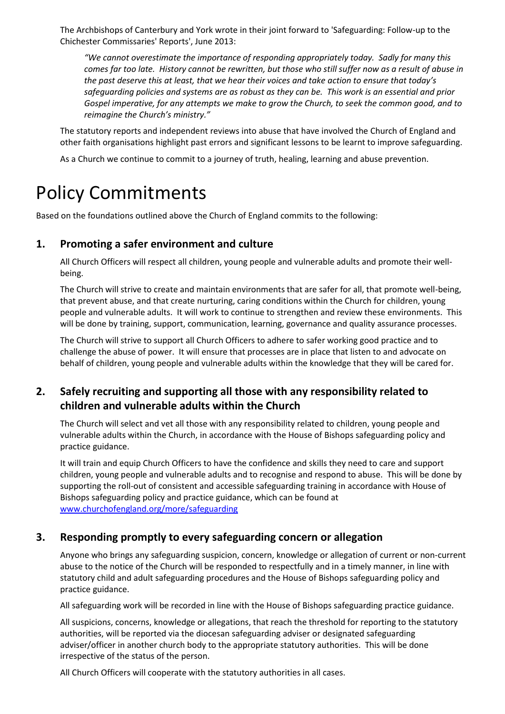The Archbishops of Canterbury and York wrote in their joint forward to 'Safeguarding: Follow-up to the Chichester Commissaries' Reports', June 2013:

*"We cannot overestimate the importance of responding appropriately today. Sadly for many this comes far too late. History cannot be rewritten, but those who still suffer now as a result of abuse in the past deserve this at least, that we hear their voices and take action to ensure that today's safeguarding policies and systems are as robust as they can be. This work is an essential and prior Gospel imperative, for any attempts we make to grow the Church, to seek the common good, and to reimagine the Church's ministry."*

The statutory reports and independent reviews into abuse that have involved the Church of England and other faith organisations highlight past errors and significant lessons to be learnt to improve safeguarding.

As a Church we continue to commit to a journey of truth, healing, learning and abuse prevention.

## Policy Commitments

Based on the foundations outlined above the Church of England commits to the following:

#### **1. Promoting a safer environment and culture**

All Church Officers will respect all children, young people and vulnerable adults and promote their wellbeing.

The Church will strive to create and maintain environments that are safer for all, that promote well-being, that prevent abuse, and that create nurturing, caring conditions within the Church for children, young people and vulnerable adults. It will work to continue to strengthen and review these environments. This will be done by training, support, communication, learning, governance and quality assurance processes.

The Church will strive to support all Church Officers to adhere to safer working good practice and to challenge the abuse of power. It will ensure that processes are in place that listen to and advocate on behalf of children, young people and vulnerable adults within the knowledge that they will be cared for.

## **2. Safely recruiting and supporting all those with any responsibility related to children and vulnerable adults within the Church**

The Church will select and vet all those with any responsibility related to children, young people and vulnerable adults within the Church, in accordance with the House of Bishops safeguarding policy and practice guidance.

It will train and equip Church Officers to have the confidence and skills they need to care and support children, young people and vulnerable adults and to recognise and respond to abuse. This will be done by supporting the roll-out of consistent and accessible safeguarding training in accordance with House of Bishops safeguarding policy and practice guidance, which can be found at [www.churchofengland.org/more/safeguarding](http://www.churchofengland.org/more/safeguarding)

#### **3. Responding promptly to every safeguarding concern or allegation**

Anyone who brings any safeguarding suspicion, concern, knowledge or allegation of current or non-current abuse to the notice of the Church will be responded to respectfully and in a timely manner, in line with statutory child and adult safeguarding procedures and the House of Bishops safeguarding policy and practice guidance.

All safeguarding work will be recorded in line with the House of Bishops safeguarding practice guidance.

All suspicions, concerns, knowledge or allegations, that reach the threshold for reporting to the statutory authorities, will be reported via the diocesan safeguarding adviser or designated safeguarding adviser/officer in another church body to the appropriate statutory authorities. This will be done irrespective of the status of the person.

All Church Officers will cooperate with the statutory authorities in all cases.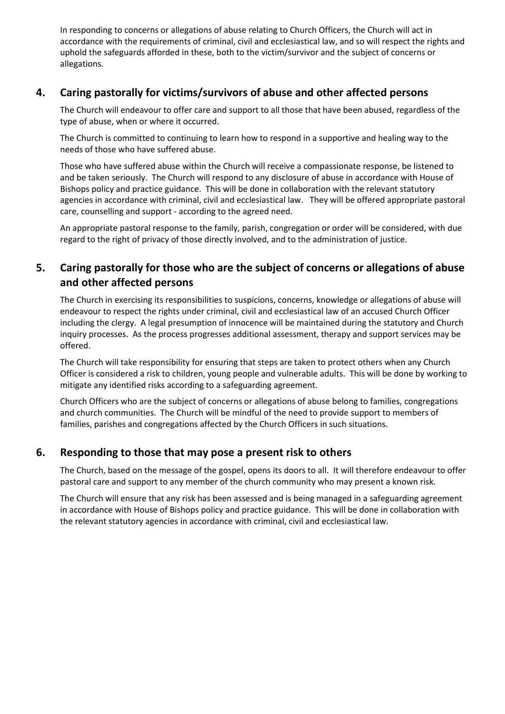In responding to concerns or allegations of abuse relating to Church Officers, the Church will act in accordance with the requirements of criminal, civil and ecclesiastical law, and so will respect the rights and uphold the safeguards afforded in these, both to the victim/survivor and the subject of concerns or allegations.

#### **4. Caring pastorally for victims/survivors of abuse and other affected persons**

The Church will endeavour to offer care and support to all those that have been abused, regardless of the type of abuse, when or where it occurred.

The Church is committed to continuing to learn how to respond in a supportive and healing way to the needs of those who have suffered abuse.

Those who have suffered abuse within the Church will receive a compassionate response, be listened to and be taken seriously. The Church will respond to any disclosure of abuse in accordance with House of Bishops policy and practice guidance. This will be done in collaboration with the relevant statutory agencies in accordance with criminal, civil and ecclesiastical law. They will be offered appropriate pastoral care, counselling and support - according to the agreed need.

An appropriate pastoral response to the family, parish, congregation or order will be considered, with due regard to the right of privacy of those directly involved, and to the administration of justice.

## **5. Caring pastorally for those who are the subject of concerns or allegations of abuse and other affected persons**

The Church in exercising its responsibilities to suspicions, concerns, knowledge or allegations of abuse will endeavour to respect the rights under criminal, civil and ecclesiastical law of an accused Church Officer including the clergy. A legal presumption of innocence will be maintained during the statutory and Church inquiry processes. As the process progresses additional assessment, therapy and support services may be offered.

The Church will take responsibility for ensuring that steps are taken to protect others when any Church Officer is considered a risk to children, young people and vulnerable adults. This will be done by working to mitigate any identified risks according to a safeguarding agreement.

Church Officers who are the subject of concerns or allegations of abuse belong to families, congregations and church communities. The Church will be mindful of the need to provide support to members of families, parishes and congregations affected by the Church Officers in such situations.

## **6. Responding to those that may pose a present risk to others**

The Church, based on the message of the gospel, opens its doors to all. It will therefore endeavour to offer pastoral care and support to any member of the church community who may present a known risk.

The Church will ensure that any risk has been assessed and is being managed in a safeguarding agreement in accordance with House of Bishops policy and practice guidance. This will be done in collaboration with the relevant statutory agencies in accordance with criminal, civil and ecclesiastical law.